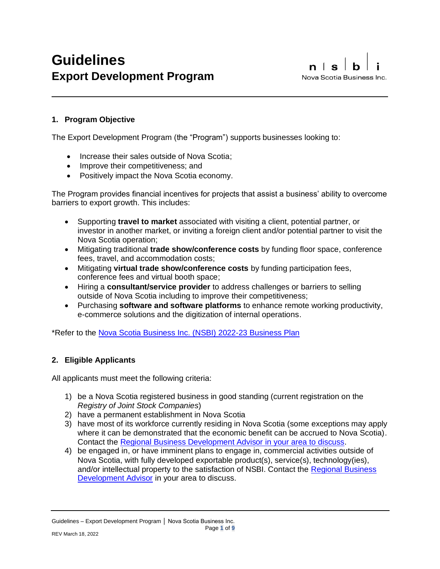# **1. Program Objective**

The Export Development Program (the "Program") supports businesses looking to:

- Increase their sales outside of Nova Scotia;
- Improve their competitiveness; and
- Positively impact the Nova Scotia economy.

The Program provides financial incentives for projects that assist a business' ability to overcome barriers to export growth. This includes:

- Supporting **travel to market** associated with visiting a client, potential partner, or investor in another market, or inviting a foreign client and/or potential partner to visit the Nova Scotia operation;
- Mitigating traditional **trade show/conference costs** by funding floor space, conference fees, travel, and accommodation costs;
- Mitigating **virtual trade show/conference costs** by funding participation fees, conference fees and virtual booth space;
- Hiring a **consultant/service provider** to address challenges or barriers to selling outside of Nova Scotia including to improve their competitiveness;
- Purchasing **software and software platforms** to enhance remote working productivity, e-commerce solutions and the digitization of internal operations.

\*Refer to the [Nova Scotia Business Inc.](https://www.novascotiabusiness.com/sites/default/files/NSBI_business_plan_2022_23.pdf) (NSBI) 2022-23 Business Plan

# **2. Eligible Applicants**

All applicants must meet the following criteria:

- 1) be a Nova Scotia registered business in good standing (current registration on the *Registry of Joint Stock Companies*)
- 2) have a permanent establishment in Nova Scotia
- 3) have most of its workforce currently residing in Nova Scotia (some exceptions may apply where it can be demonstrated that the economic benefit can be accrued to Nova Scotia). Contact the [Regional Business Development Advisor](https://www.novascotiabusiness.com/contact/regional-team) in your area to discuss.
- 4) be engaged in, or have imminent plans to engage in, commercial activities outside of Nova Scotia, with fully developed exportable product(s), service(s), technology(ies), and/or intellectual property to the satisfaction of NSBI. Contact the [Regional Business](https://www.novascotiabusiness.com/contact/regional-team)  [Development Advisor](https://www.novascotiabusiness.com/contact/regional-team) in your area to discuss.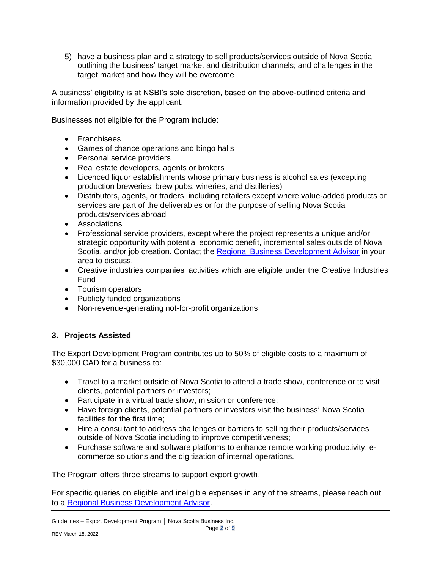5) have a business plan and a strategy to sell products/services outside of Nova Scotia outlining the business' target market and distribution channels; and challenges in the target market and how they will be overcome

A business' eligibility is at NSBI's sole discretion, based on the above-outlined criteria and information provided by the applicant.

Businesses not eligible for the Program include:

- Franchisees
- Games of chance operations and bingo halls
- Personal service providers
- Real estate developers, agents or brokers
- Licenced liquor establishments whose primary business is alcohol sales (excepting production breweries, brew pubs, wineries, and distilleries)
- Distributors, agents, or traders, including retailers except where value-added products or services are part of the deliverables or for the purpose of selling Nova Scotia products/services abroad
- Associations
- Professional service providers, except where the project represents a unique and/or strategic opportunity with potential economic benefit, incremental sales outside of Nova Scotia, and/or job creation. Contact the [Regional Business Development Advisor](https://www.novascotiabusiness.com/contact/regional-team) in your area to discuss.
- Creative industries companies' activities which are eligible under the Creative Industries Fund
- Tourism operators
- Publicly funded organizations
- Non-revenue-generating not-for-profit organizations

# **3. Projects Assisted**

The Export Development Program contributes up to 50% of eligible costs to a maximum of \$30,000 CAD for a business to:

- Travel to a market outside of Nova Scotia to attend a trade show, conference or to visit clients, potential partners or investors;
- Participate in a virtual trade show, mission or conference;
- Have foreign clients, potential partners or investors visit the business' Nova Scotia facilities for the first time;
- Hire a consultant to address challenges or barriers to selling their products/services outside of Nova Scotia including to improve competitiveness;
- Purchase software and software platforms to enhance remote working productivity, ecommerce solutions and the digitization of internal operations.

The Program offers three streams to support export growth.

For specific queries on eligible and ineligible expenses in any of the streams, please reach out to a [Regional Business Development Advisor.](https://www.novascotiabusiness.com/contact/regional-team)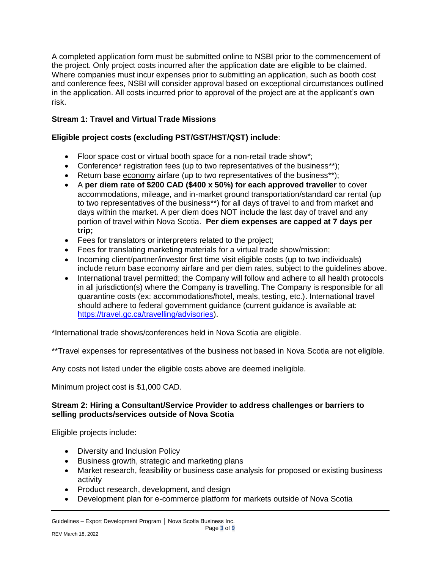A completed application form must be submitted online to NSBI prior to the commencement of the project. Only project costs incurred after the application date are eligible to be claimed. Where companies must incur expenses prior to submitting an application, such as booth cost and conference fees, NSBI will consider approval based on exceptional circumstances outlined in the application. All costs incurred prior to approval of the project are at the applicant's own risk.

# **Stream 1: Travel and Virtual Trade Missions**

# **Eligible project costs (excluding PST/GST/HST/QST) include**:

- Floor space cost or virtual booth space for a non-retail trade show\*;
- Conference\* registration fees (up to two representatives of the business\*\*);
- Return base economy airfare (up to two representatives of the business\*\*);
- A **per diem rate of \$200 CAD (\$400 x 50%) for each approved traveller** to cover accommodations, mileage, and in-market ground transportation/standard car rental (up to two representatives of the business\*\*) for all days of travel to and from market and days within the market. A per diem does NOT include the last day of travel and any portion of travel within Nova Scotia. **Per diem expenses are capped at 7 days per trip;**
- Fees for translators or interpreters related to the project;
- Fees for translating marketing materials for a virtual trade show/mission;
- Incoming client/partner/investor first time visit eligible costs (up to two individuals) include return base economy airfare and per diem rates, subject to the guidelines above.
- International travel permitted; the Company will follow and adhere to all health protocols in all jurisdiction(s) where the Company is travelling. The Company is responsible for all quarantine costs (ex: accommodations/hotel, meals, testing, etc.). International travel should adhere to federal government guidance (current guidance is available at: [https://travel.gc.ca/travelling/advisories\)](https://can01.safelinks.protection.outlook.com/?url=https%3A%2F%2Ftravel.gc.ca%2Ftravelling%2Fadvisories&data=04%7C01%7Cnpickard%40nsbi.ca%7Cb0bc0c38080c4ac6719b08d95901473a%7Ccaeee010055b4f519e1d78874e1fa71e%7C1%7C0%7C637638684279770984%7CUnknown%7CTWFpbGZsb3d8eyJWIjoiMC4wLjAwMDAiLCJQIjoiV2luMzIiLCJBTiI6Ik1haWwiLCJXVCI6Mn0%3D%7C1000&sdata=1ZNOAIQYc1BE3yPSWiN5rNV8Kk4b8TC%2FW%2BTg6V4rBKk%3D&reserved=0).

\*International trade shows/conferences held in Nova Scotia are eligible.

\*\*Travel expenses for representatives of the business not based in Nova Scotia are not eligible.

Any costs not listed under the eligible costs above are deemed ineligible.

Minimum project cost is \$1,000 CAD.

### **Stream 2: Hiring a Consultant/Service Provider to address challenges or barriers to selling products/services outside of Nova Scotia**

Eligible projects include:

- Diversity and Inclusion Policy
- Business growth, strategic and marketing plans
- Market research, feasibility or business case analysis for proposed or existing business activity
- Product research, development, and design
- Development plan for e-commerce platform for markets outside of Nova Scotia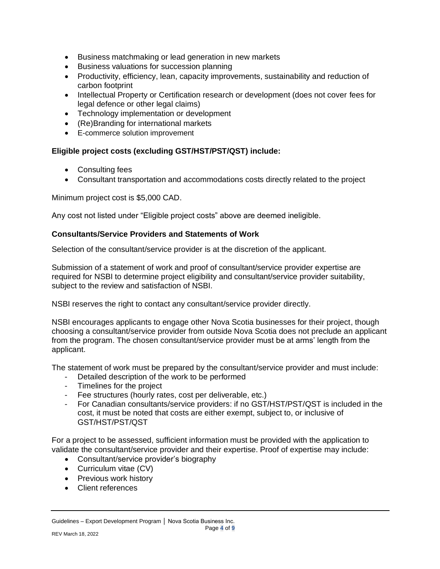- Business matchmaking or lead generation in new markets
- Business valuations for succession planning
- Productivity, efficiency, lean, capacity improvements, sustainability and reduction of carbon footprint
- Intellectual Property or Certification research or development (does not cover fees for legal defence or other legal claims)
- Technology implementation or development
- (Re)Branding for international markets
- E-commerce solution improvement

### **Eligible project costs (excluding GST/HST/PST/QST) include:**

- Consulting fees
- Consultant transportation and accommodations costs directly related to the project

Minimum project cost is \$5,000 CAD.

Any cost not listed under "Eligible project costs" above are deemed ineligible.

#### **Consultants/Service Providers and Statements of Work**

Selection of the consultant/service provider is at the discretion of the applicant.

Submission of a statement of work and proof of consultant/service provider expertise are required for NSBI to determine project eligibility and consultant/service provider suitability, subject to the review and satisfaction of NSBI.

NSBI reserves the right to contact any consultant/service provider directly.

NSBI encourages applicants to engage other Nova Scotia businesses for their project, though choosing a consultant/service provider from outside Nova Scotia does not preclude an applicant from the program. The chosen consultant/service provider must be at arms' length from the applicant.

The statement of work must be prepared by the consultant/service provider and must include:

- Detailed description of the work to be performed
- Timelines for the project
- Fee structures (hourly rates, cost per deliverable, etc.)
- For Canadian consultants/service providers: if no GST/HST/PST/QST is included in the cost, it must be noted that costs are either exempt, subject to, or inclusive of GST/HST/PST/QST

For a project to be assessed, sufficient information must be provided with the application to validate the consultant/service provider and their expertise. Proof of expertise may include:

- Consultant/service provider's biography
- Curriculum vitae (CV)
- Previous work history
- Client references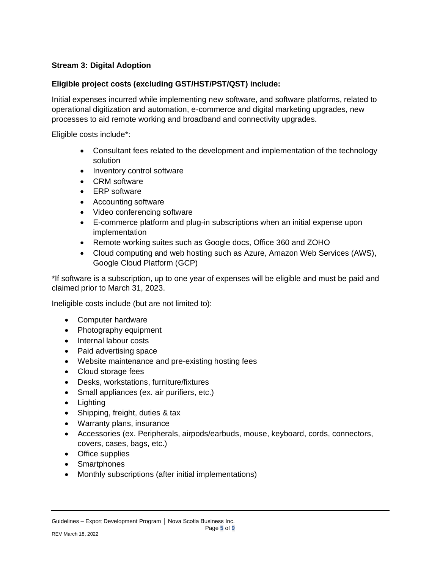# **Stream 3: Digital Adoption**

### **Eligible project costs (excluding GST/HST/PST/QST) include:**

Initial expenses incurred while implementing new software, and software platforms, related to operational digitization and automation, e-commerce and digital marketing upgrades, new processes to aid remote working and broadband and connectivity upgrades.

Eligible costs include\*:

- Consultant fees related to the development and implementation of the technology solution
- Inventory control software
- CRM software
- ERP software
- Accounting software
- Video conferencing software
- E-commerce platform and plug-in subscriptions when an initial expense upon implementation
- Remote working suites such as Google docs, Office 360 and ZOHO
- Cloud computing and web hosting such as Azure, Amazon Web Services (AWS), Google Cloud Platform (GCP)

\*If software is a subscription, up to one year of expenses will be eligible and must be paid and claimed prior to March 31, 2023.

Ineligible costs include (but are not limited to):

- Computer hardware
- Photography equipment
- Internal labour costs
- Paid advertising space
- Website maintenance and pre-existing hosting fees
- Cloud storage fees
- Desks, workstations, furniture/fixtures
- Small appliances (ex. air purifiers, etc.)
- Lighting
- Shipping, freight, duties & tax
- Warranty plans, insurance
- Accessories (ex. Peripherals, airpods/earbuds, mouse, keyboard, cords, connectors, covers, cases, bags, etc.)
- Office supplies
- Smartphones
- Monthly subscriptions (after initial implementations)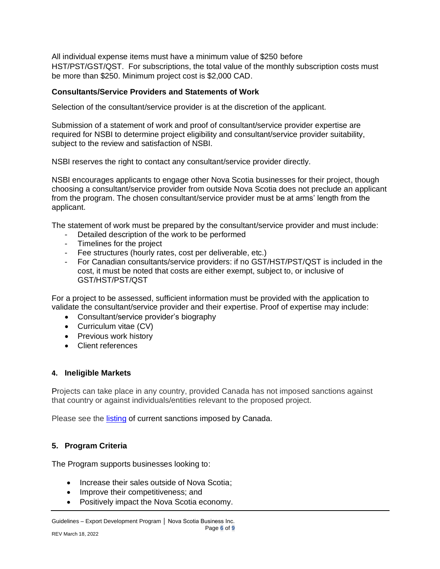All individual expense items must have a minimum value of \$250 before HST/PST/GST/QST. For subscriptions, the total value of the monthly subscription costs must be more than \$250. Minimum project cost is \$2,000 CAD.

### **Consultants/Service Providers and Statements of Work**

Selection of the consultant/service provider is at the discretion of the applicant.

Submission of a statement of work and proof of consultant/service provider expertise are required for NSBI to determine project eligibility and consultant/service provider suitability, subject to the review and satisfaction of NSBI.

NSBI reserves the right to contact any consultant/service provider directly.

NSBI encourages applicants to engage other Nova Scotia businesses for their project, though choosing a consultant/service provider from outside Nova Scotia does not preclude an applicant from the program. The chosen consultant/service provider must be at arms' length from the applicant.

The statement of work must be prepared by the consultant/service provider and must include:

- Detailed description of the work to be performed
- Timelines for the project
- Fee structures (hourly rates, cost per deliverable, etc.)
- For Canadian consultants/service providers: if no GST/HST/PST/QST is included in the cost, it must be noted that costs are either exempt, subject to, or inclusive of GST/HST/PST/QST

For a project to be assessed, sufficient information must be provided with the application to validate the consultant/service provider and their expertise. Proof of expertise may include:

- Consultant/service provider's biography
- Curriculum vitae (CV)
- Previous work history
- Client references

#### **4. Ineligible Markets**

Projects can take place in any country, provided Canada has not imposed sanctions against that country or against individuals/entities relevant to the proposed project.

Please see the *listing* of [current sanctions imposed by Canada.](https://www.international.gc.ca/world-monde/international_relations-relations_internationales/sanctions/index.aspx?lang=eng)

### **5. Program Criteria**

The Program supports businesses looking to:

- Increase their sales outside of Nova Scotia;
- Improve their competitiveness; and
- Positively impact the Nova Scotia economy.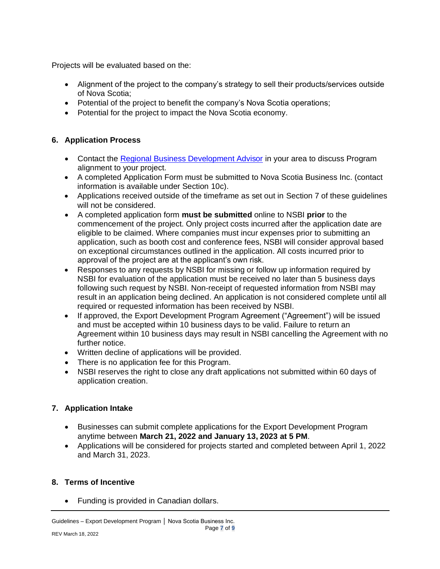Projects will be evaluated based on the:

- Alignment of the project to the company's strategy to sell their products/services outside of Nova Scotia;
- Potential of the project to benefit the company's Nova Scotia operations;
- Potential for the project to impact the Nova Scotia economy.

# **6. Application Process**

- Contact the [Regional Business Development Advisor](https://www.novascotiabusiness.com/contact/regional-team) in your area to discuss Program alignment to your project.
- A completed Application Form must be submitted to Nova Scotia Business Inc. (contact information is available under Section 10c).
- Applications received outside of the timeframe as set out in Section 7 of these guidelines will not be considered.
- A completed application form **must be submitted** online to NSBI **prior** to the commencement of the project. Only project costs incurred after the application date are eligible to be claimed. Where companies must incur expenses prior to submitting an application, such as booth cost and conference fees, NSBI will consider approval based on exceptional circumstances outlined in the application. All costs incurred prior to approval of the project are at the applicant's own risk.
- Responses to any requests by NSBI for missing or follow up information required by NSBI for evaluation of the application must be received no later than 5 business days following such request by NSBI. Non-receipt of requested information from NSBI may result in an application being declined. An application is not considered complete until all required or requested information has been received by NSBI.
- If approved, the Export Development Program Agreement ("Agreement") will be issued and must be accepted within 10 business days to be valid. Failure to return an Agreement within 10 business days may result in NSBI cancelling the Agreement with no further notice.
- Written decline of applications will be provided.
- There is no application fee for this Program.
- NSBI reserves the right to close any draft applications not submitted within 60 days of application creation.

# **7. Application Intake**

- Businesses can submit complete applications for the Export Development Program anytime between **March 21, 2022 and January 13, 2023 at 5 PM**.
- Applications will be considered for projects started and completed between April 1, 2022 and March 31, 2023.

# **8. Terms of Incentive**

• Funding is provided in Canadian dollars.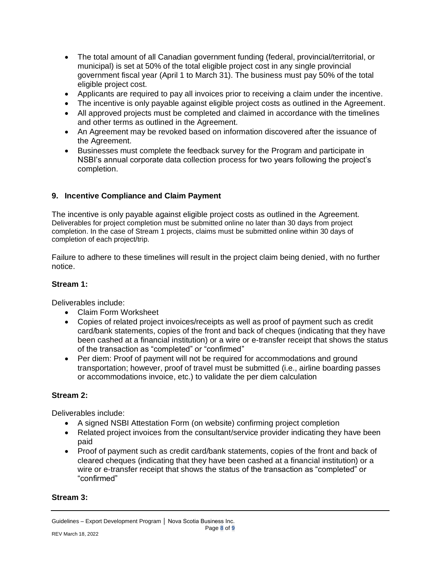- The total amount of all Canadian government funding (federal, provincial/territorial, or municipal) is set at 50% of the total eligible project cost in any single provincial government fiscal year (April 1 to March 31). The business must pay 50% of the total eligible project cost.
- Applicants are required to pay all invoices prior to receiving a claim under the incentive.
- The incentive is only payable against eligible project costs as outlined in the Agreement.
- All approved projects must be completed and claimed in accordance with the timelines and other terms as outlined in the Agreement.
- An Agreement may be revoked based on information discovered after the issuance of the Agreement.
- Businesses must complete the feedback survey for the Program and participate in NSBI's annual corporate data collection process for two years following the project's completion.

### **9. Incentive Compliance and Claim Payment**

The incentive is only payable against eligible project costs as outlined in the Agreement. Deliverables for project completion must be submitted online no later than 30 days from project completion. In the case of Stream 1 projects, claims must be submitted online within 30 days of completion of each project/trip.

Failure to adhere to these timelines will result in the project claim being denied, with no further notice.

#### **Stream 1:**

Deliverables include:

- Claim Form Worksheet
- Copies of related project invoices/receipts as well as proof of payment such as credit card/bank statements, copies of the front and back of cheques (indicating that they have been cashed at a financial institution) or a wire or e-transfer receipt that shows the status of the transaction as "completed" or "confirmed"
- Per diem: Proof of payment will not be required for accommodations and ground transportation; however, proof of travel must be submitted (i.e., airline boarding passes or accommodations invoice, etc.) to validate the per diem calculation

### **Stream 2:**

Deliverables include:

- A signed NSBI Attestation Form (on website) confirming project completion
- Related project invoices from the consultant/service provider indicating they have been paid
- Proof of payment such as credit card/bank statements, copies of the front and back of cleared cheques (indicating that they have been cashed at a financial institution) or a wire or e-transfer receipt that shows the status of the transaction as "completed" or "confirmed"

### **Stream 3:**